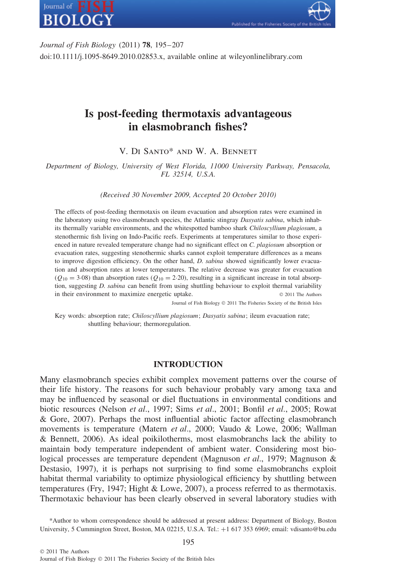



*Journal of Fish Biology* (2011) **78**, 195–207 doi:10.1111/j.1095-8649.2010.02853.x, available online at wileyonlinelibrary.com

# **Is post-feeding thermotaxis advantageous in elasmobranch fishes?**

V. Di Santo\* and W. A. Bennett

*Department of Biology, University of West Florida, 11000 University Parkway, Pensacola, FL 32514, U.S.A.*

*(Received 30 November 2009, Accepted 20 October 2010)*

The effects of post-feeding thermotaxis on ileum evacuation and absorption rates were examined in the laboratory using two elasmobranch species, the Atlantic stingray *Dasyatis sabina*, which inhabits thermally variable environments, and the whitespotted bamboo shark *Chiloscyllium plagiosum*, a stenothermic fish living on Indo-Pacific reefs. Experiments at temperatures similar to those experienced in nature revealed temperature change had no significant effect on *C. plagiosum* absorption or evacuation rates, suggesting stenothermic sharks cannot exploit temperature differences as a means to improve digestion efficiency. On the other hand, *D. sabina* showed significantly lower evacuation and absorption rates at lower temperatures. The relative decrease was greater for evacuation  $(Q_{10} = 3.08)$  than absorption rates  $(Q_{10} = 2.20)$ , resulting in a significant increase in total absorption, suggesting *D. sabina* can benefit from using shuttling behaviour to exploit thermal variability in their environment to maximize energetic uptake.  $\otimes$  2011 The Authors

Journal of Fish Biology © 2011 The Fisheries Society of the British Isles

Key words: absorption rate; *Chiloscyllium plagiosum*; *Dasyatis sabina*; ileum evacuation rate; shuttling behaviour; thermoregulation.

# **INTRODUCTION**

Many elasmobranch species exhibit complex movement patterns over the course of their life history. The reasons for such behaviour probably vary among taxa and may be influenced by seasonal or diel fluctuations in environmental conditions and biotic resources (Nelson *et al*., 1997; Sims *et al*., 2001; Bonfil *et al*., 2005; Rowat & Gore, 2007). Perhaps the most influential abiotic factor affecting elasmobranch movements is temperature (Matern *et al*., 2000; Vaudo & Lowe, 2006; Wallman & Bennett, 2006). As ideal poikilotherms, most elasmobranchs lack the ability to maintain body temperature independent of ambient water. Considering most biological processes are temperature dependent (Magnuson *et al*., 1979; Magnuson & Destasio, 1997), it is perhaps not surprising to find some elasmobranchs exploit habitat thermal variability to optimize physiological efficiency by shuttling between temperatures (Fry, 1947; Hight & Lowe, 2007), a process referred to as thermotaxis. Thermotaxic behaviour has been clearly observed in several laboratory studies with

<sup>\*</sup>Author to whom correspondence should be addressed at present address: Department of Biology, Boston University, 5 Cummington Street, Boston, MA 02215, U.S.A. Tel.: +1 617 353 6969; email: vdisanto@bu.edu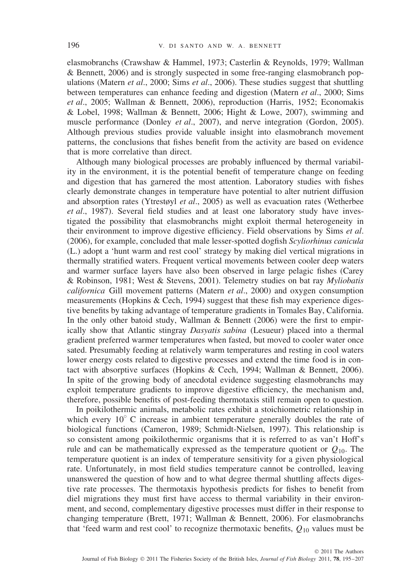elasmobranchs (Crawshaw & Hammel, 1973; Casterlin & Reynolds, 1979; Wallman & Bennett, 2006) and is strongly suspected in some free-ranging elasmobranch populations (Matern *et al*., 2000; Sims *et al*., 2006). These studies suggest that shuttling between temperatures can enhance feeding and digestion (Matern *et al*., 2000; Sims *et al*., 2005; Wallman & Bennett, 2006), reproduction (Harris, 1952; Economakis & Lobel, 1998; Wallman & Bennett, 2006; Hight & Lowe, 2007), swimming and muscle performance (Donley *et al*., 2007), and nerve integration (Gordon, 2005). Although previous studies provide valuable insight into elasmobranch movement patterns, the conclusions that fishes benefit from the activity are based on evidence that is more correlative than direct.

Although many biological processes are probably influenced by thermal variability in the environment, it is the potential benefit of temperature change on feeding and digestion that has garnered the most attention. Laboratory studies with fishes clearly demonstrate changes in temperature have potential to alter nutrient diffusion and absorption rates (Ytrestøyl *et al*., 2005) as well as evacuation rates (Wetherbee *et al*., 1987). Several field studies and at least one laboratory study have investigated the possibility that elasmobranchs might exploit thermal heterogeneity in their environment to improve digestive efficiency. Field observations by Sims *et al*. (2006), for example, concluded that male lesser-spotted dogfish *Scyliorhinus canicula* (L.) adopt a 'hunt warm and rest cool' strategy by making diel vertical migrations in thermally stratified waters. Frequent vertical movements between cooler deep waters and warmer surface layers have also been observed in large pelagic fishes (Carey & Robinson, 1981; West & Stevens, 2001). Telemetry studies on bat ray *Myliobatis californica* Gill movement patterns (Matern *et al*., 2000) and oxygen consumption measurements (Hopkins & Cech, 1994) suggest that these fish may experience digestive benefits by taking advantage of temperature gradients in Tomales Bay, California. In the only other batoid study, Wallman  $\&$  Bennett (2006) were the first to empirically show that Atlantic stingray *Dasyatis sabina* (Lesueur) placed into a thermal gradient preferred warmer temperatures when fasted, but moved to cooler water once sated. Presumably feeding at relatively warm temperatures and resting in cool waters lower energy costs related to digestive processes and extend the time food is in contact with absorptive surfaces (Hopkins & Cech, 1994; Wallman & Bennett, 2006). In spite of the growing body of anecdotal evidence suggesting elasmobranchs may exploit temperature gradients to improve digestive efficiency, the mechanism and, therefore, possible benefits of post-feeding thermotaxis still remain open to question.

In poikilothermic animals, metabolic rates exhibit a stoichiometric relationship in which every  $10°$  C increase in ambient temperature generally doubles the rate of biological functions (Cameron, 1989; Schmidt-Nielsen, 1997). This relationship is so consistent among poikilothermic organisms that it is referred to as van't Hoff's rule and can be mathematically expressed as the temperature quotient or  $Q_{10}$ . The temperature quotient is an index of temperature sensitivity for a given physiological rate. Unfortunately, in most field studies temperature cannot be controlled, leaving unanswered the question of how and to what degree thermal shuttling affects digestive rate processes. The thermotaxis hypothesis predicts for fishes to benefit from diel migrations they must first have access to thermal variability in their environment, and second, complementary digestive processes must differ in their response to changing temperature (Brett, 1971; Wallman & Bennett, 2006). For elasmobranchs that 'feed warm and rest cool' to recognize thermotaxic benefits,  $Q_{10}$  values must be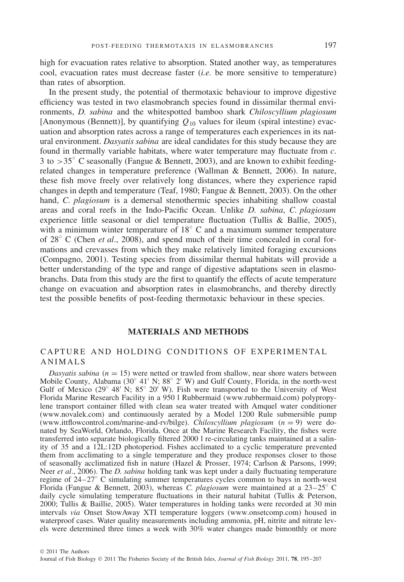high for evacuation rates relative to absorption. Stated another way, as temperatures cool, evacuation rates must decrease faster (*i.e.* be more sensitive to temperature) than rates of absorption.

In the present study, the potential of thermotaxic behaviour to improve digestive efficiency was tested in two elasmobranch species found in dissimilar thermal environments, *D. sabina* and the whitespotted bamboo shark *Chiloscyllium plagiosum* [Anonymous (Bennett)], by quantifying  $Q_{10}$  values for ileum (spiral intestine) evacuation and absorption rates across a range of temperatures each experiences in its natural environment. *Dasyatis sabina* are ideal candidates for this study because they are found in thermally variable habitats, where water temperature may fluctuate from *c*. 3 to *>*35◦ C seasonally (Fangue & Bennett, 2003), and are known to exhibit feedingrelated changes in temperature preference (Wallman & Bennett, 2006). In nature, these fish move freely over relatively long distances, where they experience rapid changes in depth and temperature (Teaf, 1980; Fangue & Bennett, 2003). On the other hand, *C. plagiosum* is a demersal stenothermic species inhabiting shallow coastal areas and coral reefs in the Indo-Pacific Ocean. Unlike *D. sabina*, *C. plagiosum* experience little seasonal or diel temperature fluctuation (Tullis & Ballie, 2005), with a minimum winter temperature of 18<sup>°</sup> C and a maximum summer temperature of 28◦ C (Chen *et al*., 2008), and spend much of their time concealed in coral formations and crevasses from which they make relatively limited foraging excursions (Compagno, 2001). Testing species from dissimilar thermal habitats will provide a better understanding of the type and range of digestive adaptations seen in elasmobranchs. Data from this study are the first to quantify the effects of acute temperature change on evacuation and absorption rates in elasmobranchs, and thereby directly test the possible benefits of post-feeding thermotaxic behaviour in these species.

## **MATERIALS AND METHODS**

# CAPTURE AND HOLDING CONDITIONS OF EXPERIMENTAL ANIMALS

*Dasyatis sabina*  $(n = 15)$  were netted or trawled from shallow, near shore waters between Mobile County, Alabama ( $30°$  41' N;  $88°$  2' W) and Gulf County, Florida, in the north-west Gulf of Mexico (29 $\degree$  48' N; 85 $\degree$  20' W). Fish were transported to the University of West Florida Marine Research Facility in a 950 l Rubbermaid (www.rubbermaid.com) polypropylene transport container filled with clean sea water treated with Amquel water conditioner (www.novalek.com) and continuously aerated by a Model 1200 Rule submersible pump (www.ittflowcontrol.com/marine-and-rv/bilge). *Chiloscyllium plagiosum* (*n* = 9) were donated by SeaWorld, Orlando, Florida. Once at the Marine Research Facility, the fishes were transferred into separate biologically filtered 2000 l re-circulating tanks maintained at a salinity of 35 and a 12L:12D photoperiod. Fishes acclimated to a cyclic temperature prevented them from acclimating to a single temperature and they produce responses closer to those of seasonally acclimatized fish in nature (Hazel & Prosser, 1974; Carlson & Parsons, 1999; Neer *et al*., 2006). The *D. sabina* holding tank was kept under a daily fluctuating temperature regime of 24–27◦ C simulating summer temperatures cycles common to bays in north-west Florida (Fangue & Bennett, 2003), whereas *C. plagiosum* were maintained at a 23–25◦ C daily cycle simulating temperature fluctuations in their natural habitat (Tullis & Peterson, 2000; Tullis & Baillie, 2005). Water temperatures in holding tanks were recorded at 30 min intervals *via* Onset StowAway XTI temperature loggers (www.onsetcomp.com) housed in waterproof cases. Water quality measurements including ammonia, pH, nitrite and nitrate levels were determined three times a week with 30% water changes made bimonthly or more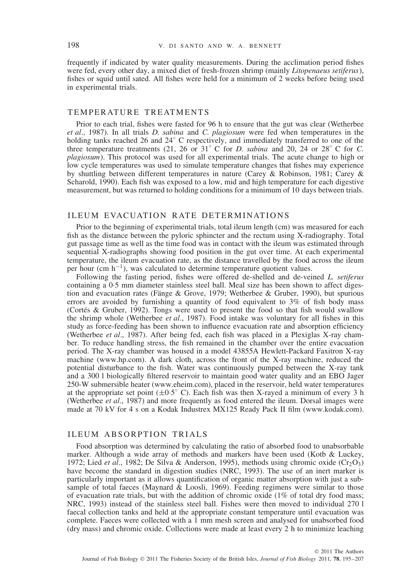frequently if indicated by water quality measurements. During the acclimation period fishes were fed, every other day, a mixed diet of fresh-frozen shrimp (mainly *Litopenaeus setiferus*), fishes or squid until sated. All fishes were held for a minimum of 2 weeks before being used in experimental trials.

# TEMPERATURE TREATMENTS

Prior to each trial, fishes were fasted for 96 h to ensure that the gut was clear (Wetherbee *et al*., 1987). In all trials *D. sabina* and *C. plagiosum* were fed when temperatures in the holding tanks reached 26 and 24◦ C respectively, and immediately transferred to one of the three temperature treatments (21, 26 or 31◦ C for *D. sabina* and 20, 24 or 28◦ C for *C. plagiosum*). This protocol was used for all experimental trials. The acute change to high or low cycle temperatures was used to simulate temperature changes that fishes may experience by shuttling between different temperatures in nature (Carey & Robinson, 1981; Carey & Scharold, 1990). Each fish was exposed to a low, mid and high temperature for each digestive measurement, but was returned to holding conditions for a minimum of 10 days between trials.

# ILEUM EVACUATION RATE DETERMINATIONS

Prior to the beginning of experimental trials, total ileum length (cm) was measured for each fish as the distance between the pyloric sphincter and the rectum using X-radiography. Total gut passage time as well as the time food was in contact with the ileum was estimated through sequential X-radiographs showing food position in the gut over time. At each experimental temperature, the ileum evacuation rate, as the distance travelled by the food across the ileum per hour (cm h<sup>-1</sup>), was calculated to determine temperature quotient values.

Following the fasting period, fishes were offered de-shelled and de-veined *L. setiferus* containing a 0·5 mm diameter stainless steel ball. Meal size has been shown to affect digestion and evacuation rates (Fänge & Grove, 1979; Wetherbee & Gruber, 1990), but spurious errors are avoided by furnishing a quantity of food equivalent to 3% of fish body mass (Cortés & Gruber, 1992). Tongs were used to present the food so that fish would swallow the shrimp whole (Wetherbee *et al*., 1987). Food intake was voluntary for all fishes in this study as force-feeding has been shown to influence evacuation rate and absorption efficiency (Wetherbee *et al*., 1987). After being fed, each fish was placed in a Plexiglas X-ray chamber. To reduce handling stress, the fish remained in the chamber over the entire evacuation period. The X-ray chamber was housed in a model 43855A Hewlett-Packard Faxitron X-ray machine (www.hp.com). A dark cloth, across the front of the X-ray machine, reduced the potential disturbance to the fish. Water was continuously pumped between the X-ray tank and a 300 l biologically filtered reservoir to maintain good water quality and an EBO Jager 250-W submersible heater (www.eheim.com), placed in the reservoir, held water temperatures at the appropriate set point  $(\pm 0.5^{\circ} C)$ . Each fish was then X-rayed a minimum of every 3 h (Wetherbee *et al*., 1987) and more frequently as food entered the ileum. Dorsal images were made at 70 kV for 4 s on a Kodak Industrex MX125 Ready Pack II film (www.kodak.com).

## ILEUM ABSORPTION TRIALS

Food absorption was determined by calculating the ratio of absorbed food to unabsorbable marker. Although a wide array of methods and markers have been used (Kotb & Luckey, 1972; Lied *et al.*, 1982; De Silva & Anderson, 1995), methods using chromic oxide  $(Cr_2O_3)$ have become the standard in digestion studies (NRC, 1993). The use of an inert marker is particularly important as it allows quantification of organic matter absorption with just a subsample of total faeces (Maynard  $\&$  Loosli, 1969). Feeding regimens were similar to those of evacuation rate trials, but with the addition of chromic oxide (1% of total dry food mass; NRC, 1993) instead of the stainless steel ball. Fishes were then moved to individual 270 l faecal collection tanks and held at the appropriate constant temperature until evacuation was complete. Faeces were collected with a 1 mm mesh screen and analysed for unabsorbed food (dry mass) and chromic oxide. Collections were made at least every 2 h to minimize leaching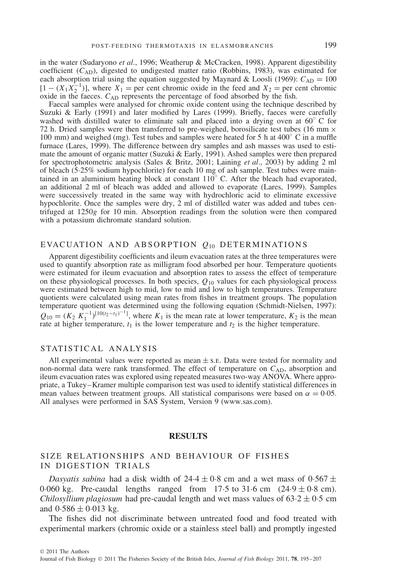in the water (Sudaryono *et al*., 1996; Weatherup & McCracken, 1998). Apparent digestibility coefficient  $(C_{AD})$ , digested to undigested matter ratio (Robbins, 1983), was estimated for each absorption trial using the equation suggested by Maynard & Loosli (1969):  $C_{AD} = 100$  $[1 - (X_1 X_2^{-1})]$ , where  $X_1$  = per cent chromic oxide in the feed and  $X_2$  = per cent chromic oxide in the faeces.  $C_{AD}$  represents the percentage of food absorbed by the fish.

Faecal samples were analysed for chromic oxide content using the technique described by Suzuki & Early (1991) and later modified by Lares (1999). Briefly, faeces were carefully washed with distilled water to eliminate salt and placed into a drying oven at 60◦ C for 72 h. Dried samples were then transferred to pre-weighed, borosilicate test tubes (16 mm  $\times$ 100 mm) and weighed (mg). Test tubes and samples were heated for 5 h at 400◦ C in a muffle furnace (Lares, 1999). The difference between dry samples and ash masses was used to estimate the amount of organic matter (Suzuki & Early, 1991). Ashed samples were then prepared for spectrophotometric analysis (Sales & Britz, 2001; Laining *et al*., 2003) by adding 2 ml of bleach (5·25% sodium hypochlorite) for each 10 mg of ash sample. Test tubes were maintained in an aluminium heating block at constant  $110^{\circ}$  C. After the bleach had evaporated, an additional 2 ml of bleach was added and allowed to evaporate (Lares, 1999). Samples were successively treated in the same way with hydrochloric acid to eliminate excessive hypochlorite. Once the samples were dry, 2 ml of distilled water was added and tubes centrifuged at 1250*g* for 10 min. Absorption readings from the solution were then compared with a potassium dichromate standard solution.

#### EVACUATION AND ABSORPTION  $Q_{10}$  DETERMINATIONS

Apparent digestibility coefficients and ileum evacuation rates at the three temperatures were used to quantify absorption rate as milligram food absorbed per hour. Temperature quotients were estimated for ileum evacuation and absorption rates to assess the effect of temperature on these physiological processes. In both species,  $O_{10}$  values for each physiological process were estimated between high to mid, low to mid and low to high temperatures. Temperature quotients were calculated using mean rates from fishes in treatment groups. The population temperature quotient was determined using the following equation (Schmidt-Nielsen, 1997):  $Q_{10} = (K_2 \ K_1^{-1})^{[10(t_2 - t_1)^{-1}]}$ , where  $K_1$  is the mean rate at lower temperature,  $K_2$  is the mean rate at higher temperature,  $t_1$  is the lower temperature and  $t_2$  is the higher temperature.

# STATISTICAL ANALYSIS

All experimental values were reported as mean  $\pm$  s.e. Data were tested for normality and non-normal data were rank transformed. The effect of temperature on *C*<sub>AD</sub>, absorption and ileum evacuation rates was explored using repeated measures two-way ANOVA. Where appropriate, a Tukey–Kramer multiple comparison test was used to identify statistical differences in mean values between treatment groups. All statistical comparisons were based on  $\alpha = 0.05$ . All analyses were performed in SAS System, Version 9 (www.sas.com).

#### **RESULTS**

### SIZE RELATIONSHIPS AND BEHAVIOUR OF FISHES IN DIGESTION TRIALS

*Dasyatis sabina* had a disk width of  $24.4 \pm 0.8$  cm and a wet mass of  $0.567 \pm 0.67$ 0.060 kg. Pre-caudal lengths ranged from  $17.5$  to  $31.6$  cm  $(24.9 \pm 0.8$  cm). *Chilosyllium plagiosum* had pre-caudal length and wet mass values of  $63.2 \pm 0.5$  cm and  $0.586 \pm 0.013$  kg.

The fishes did not discriminate between untreated food and food treated with experimental markers (chromic oxide or a stainless steel ball) and promptly ingested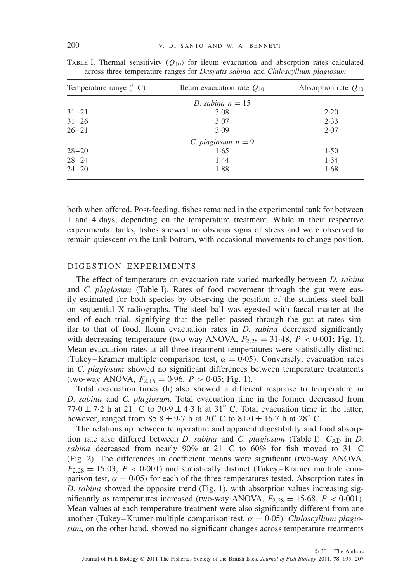| Temperature range $(^\circ C)$ | Ileum evacuation rate $Q_{10}$ | Absorption rate $Q_{10}$ |
|--------------------------------|--------------------------------|--------------------------|
|                                | D. sabina $n = 15$             |                          |
| $31 - 21$                      | 3.08                           | 2.20                     |
| $31 - 26$                      | 3.07                           | 2.33                     |
| $26 - 21$                      | 3.09                           | 2.07                     |
|                                | C. plagiosum $n = 9$           |                          |
| $28 - 20$                      | 1.65                           | 1.50                     |
| $28 - 24$                      | 1.44                           | 1.34                     |
| $24 - 20$                      | 1.88                           | 1.68                     |

TABLE I. Thermal sensitivity  $(Q_{10})$  for ileum evacuation and absorption rates calculated across three temperature ranges for *Dasyatis sabina* and *Chiloscyllium plagiosum*

both when offered. Post-feeding, fishes remained in the experimental tank for between 1 and 4 days, depending on the temperature treatment. While in their respective experimental tanks, fishes showed no obvious signs of stress and were observed to remain quiescent on the tank bottom, with occasional movements to change position.

## DIGESTION EXPERIMENTS

The effect of temperature on evacuation rate varied markedly between *D. sabina* and *C. plagiosum* (Table I). Rates of food movement through the gut were easily estimated for both species by observing the position of the stainless steel ball on sequential X-radiographs. The steel ball was egested with faecal matter at the end of each trial, signifying that the pellet passed through the gut at rates similar to that of food. Ileum evacuation rates in *D. sabina* decreased significantly with decreasing temperature (two-way ANOVA,  $F_{2,28} = 31.48$ ,  $P < 0.001$ ; Fig. 1). Mean evacuation rates at all three treatment temperatures were statistically distinct (Tukey–Kramer multiple comparison test,  $\alpha = 0.05$ ). Conversely, evacuation rates in *C. plagiosum* showed no significant differences between temperature treatments (two-way ANOVA,  $F_{2,16} = 0.96$ ,  $P > 0.05$ ; Fig. 1).

Total evacuation times (h) also showed a different response to temperature in *D. sabina* and *C. plagiosum*. Total evacuation time in the former decreased from 77·0  $\pm$  7·2 h at 21° C to 30·9  $\pm$  4·3 h at 31° C. Total evacuation time in the latter, however, ranged from  $85.8 \pm 9.7$  h at  $20^{\circ}$  C to  $81.0 \pm 16.7$  h at  $28^{\circ}$  C.

The relationship between temperature and apparent digestibility and food absorption rate also differed between *D. sabina* and *C. plagiosum* (Table I).  $C_{AD}$  in *D. sabina* decreased from nearly 90% at 21◦ C to 60% for fish moved to 31◦ C (Fig. 2). The differences in coefficient means were significant (two-way ANOVA,  $F_{2,28} = 15.03$ ,  $P < 0.001$ ) and statistically distinct (Tukey–Kramer multiple comparison test,  $\alpha = 0.05$ ) for each of the three temperatures tested. Absorption rates in *D. sabina* showed the opposite trend (Fig. 1), with absorption values increasing significantly as temperatures increased (two-way ANOVA,  $F_{2,28} = 15.68$ ,  $P < 0.001$ ). Mean values at each temperature treatment were also significantly different from one another (Tukey–Kramer multiple comparison test, *α* = 0·05). *Chiloscyllium plagiosum*, on the other hand, showed no significant changes across temperature treatments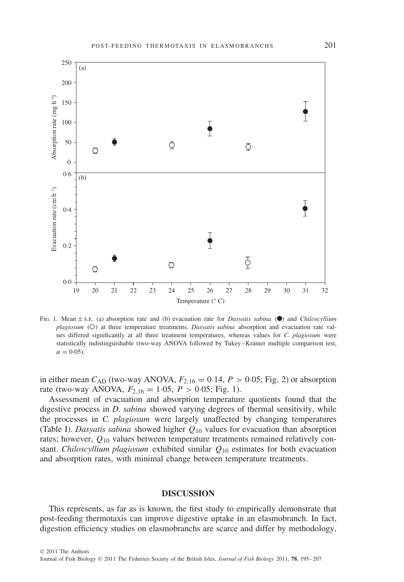

FIG. 1. Mean  $\pm$  s.e. (a) absorption rate and (b) evacuation rate for *Dasyatis sabina* ( $\bullet$ ) and *Chiloscyllium plagiosum* (O) at three temperature treatments. *Dasyatis sabina* absorption and evacuation rate values differed significantly at all three treatment temperatures, whereas values for *C. plagiosum* were statistically indistinguishable (two-way ANOVA followed by Tukey–Kramer multiple comparison test,  $\alpha = 0.05$ ).

in either mean  $C_{AD}$  (two-way ANOVA,  $F_{2,16} = 0.14$ ,  $P > 0.05$ ; Fig. 2) or absorption rate (two-way ANOVA,  $F_{2,16} = 1.05$ ,  $P > 0.05$ ; Fig. 1).

Assessment of evacuation and absorption temperature quotients found that the digestive process in *D. sabina* showed varying degrees of thermal sensitivity, while the processes in *C. plagiosum* were largely unaffected by changing temperatures (Table I). *Dasyatis sabina* showed higher *Q*<sup>10</sup> values for evacuation than absorption rates; however, *Q*<sup>10</sup> values between temperature treatments remained relatively constant. *Chiloscyllium plagiosum* exhibited similar *Q*<sup>10</sup> estimates for both evacuation and absorption rates, with minimal change between temperature treatments.

## **DISCUSSION**

This represents, as far as is known, the first study to empirically demonstrate that post-feeding thermotaxis can improve digestive uptake in an elasmobranch. In fact, digestion efficiency studies on elasmobranchs are scarce and differ by methodology,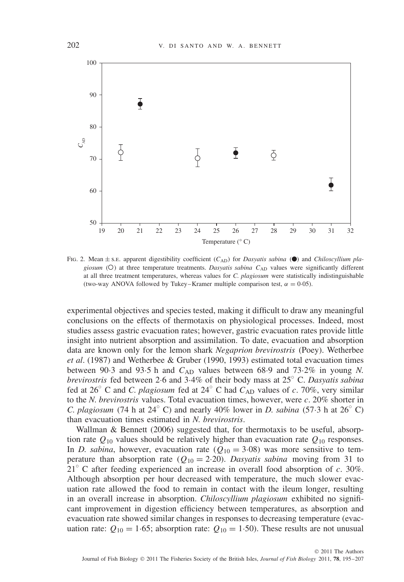

FIG. 2. Mean  $\pm$  s.e. apparent digestibility coefficient ( $C_{AD}$ ) for *Dasyatis sabina* ( $\bullet$ ) and *Chiloscyllium plagiosum* (O) at three temperature treatments. *Dasyatis sabina*  $C_{AD}$  values were significantly different at all three treatment temperatures, whereas values for *C. plagiosum* were statistically indistinguishable (two-way ANOVA followed by Tukey–Kramer multiple comparison test,  $\alpha = 0.05$ ).

experimental objectives and species tested, making it difficult to draw any meaningful conclusions on the effects of thermotaxis on physiological processes. Indeed, most studies assess gastric evacuation rates; however, gastric evacuation rates provide little insight into nutrient absorption and assimilation. To date, evacuation and absorption data are known only for the lemon shark *Negaprion brevirostris* (Poey). Wetherbee *et al*. (1987) and Wetherbee & Gruber (1990, 1993) estimated total evacuation times between 90.3 and 93.5 h and  $C_{AD}$  values between 68.9 and 73.2% in young N. *brevirostris* fed between 2·6 and 3·4% of their body mass at 25◦ C. *Dasyatis sabina* fed at 26◦ C and *C. plagiosum* fed at 24◦ C had *C*AD values of *c*. 70%, very similar to the *N. brevirostris* values. Total evacuation times, however, were *c*. 20% shorter in *C. plagiosum* (74 h at  $24°$  C) and nearly 40% lower in *D. sabina* (57·3 h at  $26°$  C) than evacuation times estimated in *N. brevirostris*.

Wallman & Bennett (2006) suggested that, for thermotaxis to be useful, absorption rate  $Q_{10}$  values should be relatively higher than evacuation rate  $Q_{10}$  responses. In *D. sabina*, however, evacuation rate  $(Q_{10} = 3.08)$  was more sensitive to temperature than absorption rate ( $Q_{10} = 2.20$ ). *Dasyatis sabina* moving from 31 to 21◦ C after feeding experienced an increase in overall food absorption of *c*. 30%. Although absorption per hour decreased with temperature, the much slower evacuation rate allowed the food to remain in contact with the ileum longer, resulting in an overall increase in absorption. *Chiloscyllium plagiosum* exhibited no significant improvement in digestion efficiency between temperatures, as absorption and evacuation rate showed similar changes in responses to decreasing temperature (evacuation rate:  $Q_{10} = 1.65$ ; absorption rate:  $Q_{10} = 1.50$ ). These results are not unusual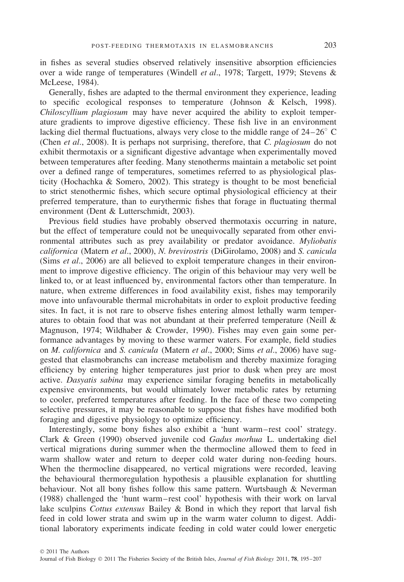in fishes as several studies observed relatively insensitive absorption efficiencies over a wide range of temperatures (Windell *et al*., 1978; Targett, 1979; Stevens & McLeese, 1984).

Generally, fishes are adapted to the thermal environment they experience, leading to specific ecological responses to temperature (Johnson & Kelsch, 1998). *Chiloscyllium plagiosum* may have never acquired the ability to exploit temperature gradients to improve digestive efficiency. These fish live in an environment lacking diel thermal fluctuations, always very close to the middle range of 24–26◦ C (Chen *et al*., 2008). It is perhaps not surprising, therefore, that *C. plagiosum* do not exhibit thermotaxis or a significant digestive advantage when experimentally moved between temperatures after feeding. Many stenotherms maintain a metabolic set point over a defined range of temperatures, sometimes referred to as physiological plasticity (Hochachka & Somero, 2002). This strategy is thought to be most beneficial to strict stenothermic fishes, which secure optimal physiological efficiency at their preferred temperature, than to eurythermic fishes that forage in fluctuating thermal environment (Dent & Lutterschmidt, 2003).

Previous field studies have probably observed thermotaxis occurring in nature, but the effect of temperature could not be unequivocally separated from other environmental attributes such as prey availability or predator avoidance. *Myliobatis californica* (Matern *et al*., 2000), *N. brevirostris* (DiGirolamo, 2008) and *S. canicula* (Sims *et al*., 2006) are all believed to exploit temperature changes in their environment to improve digestive efficiency. The origin of this behaviour may very well be linked to, or at least influenced by, environmental factors other than temperature. In nature, when extreme differences in food availability exist, fishes may temporarily move into unfavourable thermal microhabitats in order to exploit productive feeding sites. In fact, it is not rare to observe fishes entering almost lethally warm temperatures to obtain food that was not abundant at their preferred temperature (Neill & Magnuson, 1974; Wildhaber & Crowder, 1990). Fishes may even gain some performance advantages by moving to these warmer waters. For example, field studies on *M. californica* and *S. canicula* (Matern *et al*., 2000; Sims *et al*., 2006) have suggested that elasmobranchs can increase metabolism and thereby maximize foraging efficiency by entering higher temperatures just prior to dusk when prey are most active. *Dasyatis sabina* may experience similar foraging benefits in metabolically expensive environments, but would ultimately lower metabolic rates by returning to cooler, preferred temperatures after feeding. In the face of these two competing selective pressures, it may be reasonable to suppose that fishes have modified both foraging and digestive physiology to optimize efficiency.

Interestingly, some bony fishes also exhibit a 'hunt warm–rest cool' strategy. Clark & Green (1990) observed juvenile cod *Gadus morhua* L. undertaking diel vertical migrations during summer when the thermocline allowed them to feed in warm shallow water and return to deeper cold water during non-feeding hours. When the thermocline disappeared, no vertical migrations were recorded, leaving the behavioural thermoregulation hypothesis a plausible explanation for shuttling behaviour. Not all bony fishes follow this same pattern. Wurtsbaugh & Neverman (1988) challenged the 'hunt warm–rest cool' hypothesis with their work on larval lake sculpins *Cottus extensus* Bailey & Bond in which they report that larval fish feed in cold lower strata and swim up in the warm water column to digest. Additional laboratory experiments indicate feeding in cold water could lower energetic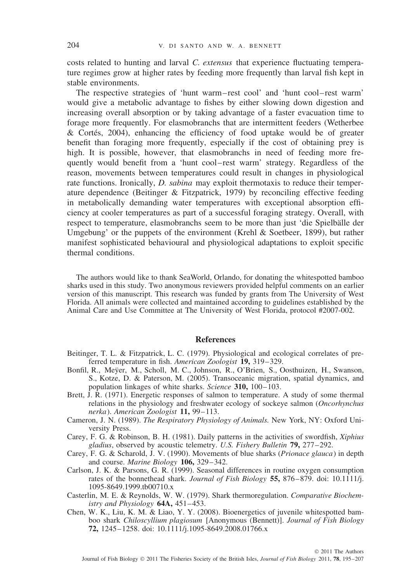costs related to hunting and larval *C. extensus* that experience fluctuating temperature regimes grow at higher rates by feeding more frequently than larval fish kept in stable environments.

The respective strategies of 'hunt warm–rest cool' and 'hunt cool–rest warm' would give a metabolic advantage to fishes by either slowing down digestion and increasing overall absorption or by taking advantage of a faster evacuation time to forage more frequently. For elasmobranchs that are intermittent feeders (Wetherbee  $&$  Cortés, 2004), enhancing the efficiency of food uptake would be of greater benefit than foraging more frequently, especially if the cost of obtaining prey is high. It is possible, however, that elasmobranchs in need of feeding more frequently would benefit from a 'hunt cool–rest warm' strategy. Regardless of the reason, movements between temperatures could result in changes in physiological rate functions. Ironically, *D. sabina* may exploit thermotaxis to reduce their temperature dependence (Beitinger & Fitzpatrick, 1979) by reconciling effective feeding in metabolically demanding water temperatures with exceptional absorption efficiency at cooler temperatures as part of a successful foraging strategy. Overall, with respect to temperature, elasmobranchs seem to be more than just 'die Spielbälle der Umgebung' or the puppets of the environment (Krehl & Soetbeer, 1899), but rather manifest sophisticated behavioural and physiological adaptations to exploit specific thermal conditions.

The authors would like to thank SeaWorld, Orlando, for donating the whitespotted bamboo sharks used in this study. Two anonymous reviewers provided helpful comments on an earlier version of this manuscript. This research was funded by grants from The University of West Florida. All animals were collected and maintained according to guidelines established by the Animal Care and Use Committee at The University of West Florida, protocol #2007-002.

## **References**

- Beitinger, T. L. & Fitzpatrick, L. C. (1979). Physiological and ecological correlates of preferred temperature in fish. *American Zoologist* **19,** 319–329.
- Bonfil, R., Meyer, M., Scholl, M. C., Johnson, R., O'Brien, S., Oosthuizen, H., Swanson, S., Kotze, D. & Paterson, M. (2005). Transoceanic migration, spatial dynamics, and population linkages of white sharks. *Science* **310,** 100–103.
- Brett,  $\hat{J}$ . R. (1971). Energetic responses of salmon to temperature. A study of some thermal relations in the physiology and freshwater ecology of sockeye salmon (*Oncorhynchus nerka*). *American Zoologist* **11,** 99–113.
- Cameron, J. N. (1989). *The Respiratory Physiology of Animals.* New York, NY: Oxford University Press.
- Carey, F. G. & Robinson, B. H. (1981). Daily patterns in the activities of swordfish, *Xiphius gladius*, observed by acoustic telemetry. *U.S. Fishery Bulletin* **79,** 277–292.
- Carey, F. G. & Scharold, J. V. (1990). Movements of blue sharks (*Prionace glauca*) in depth and course. *Marine Biology* **106,** 329–342.
- Carlson, J. K. & Parsons, G. R. (1999). Seasonal differences in routine oxygen consumption rates of the bonnethead shark. *Journal of Fish Biology* **55,** 876–879. doi: 10.1111/j. 1095-8649.1999.tb00710.x
- Casterlin, M. E. & Reynolds, W. W. (1979). Shark thermoregulation. *Comparative Biochemistry and Physiology* **64A,** 451–453.
- Chen, W. K., Liu, K. M. & Liao, Y. Y. (2008). Bioenergetics of juvenile whitespotted bamboo shark *Chiloscyllium plagiosum* [Anonymous (Bennett)]. *Journal of Fish Biology* **72,** 1245–1258. doi: 10.1111/j.1095-8649.2008.01766.x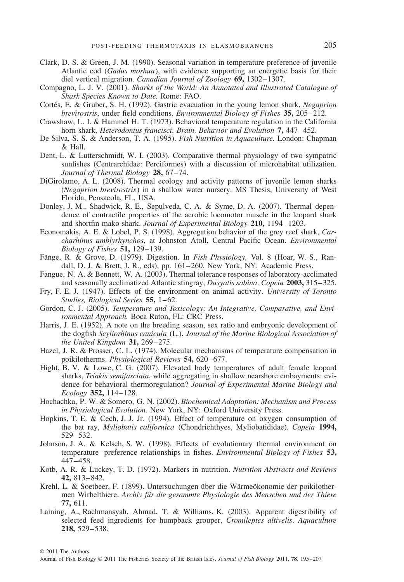- Clark, D. S. & Green, J. M. (1990). Seasonal variation in temperature preference of juvenile Atlantic cod (*Gadus morhua*), with evidence supporting an energetic basis for their diel vertical migration. *Canadian Journal of Zoology* **69,** 1302–1307.
- Compagno, L. J. V. (2001). *Sharks of the World: An Annotated and Illustrated Catalogue of Shark Species Known to Date.* Rome: FAO.
- Cortés, E. & Gruber, S. H. (1992). Gastric evacuation in the young lemon shark, *Negaprion brevirostris*, under field conditions. *Environmental Biology of Fishes* **35,** 205–212.
- Crawshaw, L. I. & Hammel H. T. (1973). Behavioral temperature regulation in the California horn shark, *Heterodontus francisci*. *Brain, Behavior and Evolution* **7,** 447–452.
- De Silva, S. S. & Anderson, T. A. (1995). *Fish Nutrition in Aquaculture.* London: Chapman & Hall.
- Dent, L. & Lutterschmidt, W. I. (2003). Comparative thermal physiology of two sympatric sunfishes (Centrarchidae: Perciformes) with a discussion of microhabitat utilization. *Journal of Thermal Biology* **28,** 67–74.
- DiGirolamo, A. L. (2008). Thermal ecology and activity patterns of juvenile lemon sharks (*Negaprion brevirostris*) in a shallow water nursery. MS Thesis, University of West Florida, Pensacola, FL, USA.
- Donley, J. M., Shadwick, R. E., Sepulveda, C. A. & Syme, D. A. (2007). Thermal dependence of contractile properties of the aerobic locomotor muscle in the leopard shark and shortfin mako shark. *Journal of Experimental Biology* **210,** 1194–1203.
- Economakis, A. E. & Lobel, P. S. (1998). Aggregation behavior of the grey reef shark, *Carcharhinus amblyrhynchos*, at Johnston Atoll, Central Pacific Ocean. *Environmental Biology of Fishes* **51,** 129–139.
- Fänge, R. & Grove, D. (1979). Digestion. In *Fish Physiology*, Vol. 8 (Hoar, W. S., Randall, D. J. & Brett, J. R., eds), pp. 161–260. New York, NY: Academic Press.
- Fangue, N. A. & Bennett, W. A. (2003). Thermal tolerance responses of laboratory-acclimated and seasonally acclimatized Atlantic stingray, *Dasyatis sabina*. *Copeia* **2003,** 315–325.
- Fry, F. E. J. (1947). Effects of the environment on animal activity. *University of Toronto Studies, Biological Series* **55,** 1–62.
- Gordon, C. J. (2005). *Temperature and Toxicology: An Integrative, Comparative, and Environmental Approach.* Boca Raton, FL: CRC Press.
- Harris, J. E. (1952). A note on the breeding season, sex ratio and embryonic development of the dogfish *Scyliorhinus canicula* (L.). *Journal of the Marine Biological Association of the United Kingdom* **31,** 269–275.
- Hazel, J. R. & Prosser, C. L. (1974). Molecular mechanisms of temperature compensation in poikilotherms. *Physiological Reviews* **54,** 620–677.
- Hight, B. V. & Lowe, C. G. (2007). Elevated body temperatures of adult female leopard sharks, *Triakis semifasciata*, while aggregating in shallow nearshore embayments: evidence for behavioral thermoregulation? *Journal of Experimental Marine Biology and Ecology* **352,** 114–128.
- Hochachka, P. W. & Somero, G. N. (2002). *Biochemical Adaptation: Mechanism and Process in Physiological Evolution.* New York, NY: Oxford University Press.
- Hopkins, T. E. & Cech, J. J. Jr. (1994). Effect of temperature on oxygen consumption of the bat ray, *Myliobatis californica* (Chondrichthyes, Myliobatididae). *Copeia* **1994,** 529–532.
- Johnson, J. A. & Kelsch, S. W. (1998). Effects of evolutionary thermal environment on temperature–preference relationships in fishes. *Environmental Biology of Fishes* **53,** 447–458.
- Kotb, A. R. & Luckey, T. D. (1972). Markers in nutrition. *Nutrition Abstracts and Reviews* **42,** 813–842.
- Krehl, L. & Soetbeer, F. (1899). Untersuchungen über die Wärmeökonomie der poikilothermen Wirbelthiere. *Archiv für die gesammte Physiologie des Menschen und der Thiere* **77,** 611.
- Laining, A., Rachmansyah, Ahmad, T. & Williams, K. (2003). Apparent digestibility of selected feed ingredients for humpback grouper, *Cromileptes altivelis*. *Aquaculture* **218,** 529–538.

Journal of Fish Biology © 2011 The Fisheries Society of the British Isles, *Journal of Fish Biology* 2011, **78**, 195–207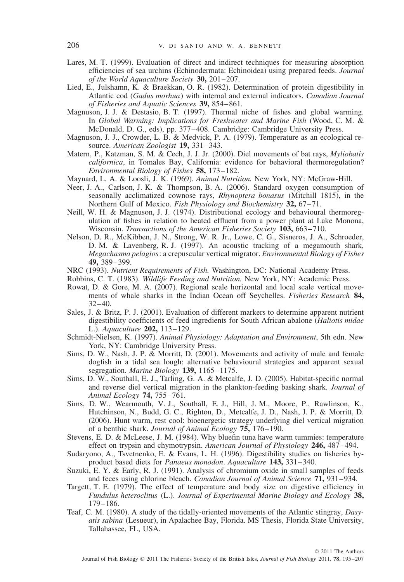- Lares, M. T. (1999). Evaluation of direct and indirect techniques for measuring absorption efficiencies of sea urchins (Echinodermata: Echinoidea) using prepared feeds. *Journal of the World Aquaculture Society* **30,** 201–207.
- Lied, E., Julshamn, K. & Braekkan, O. R. (1982). Determination of protein digestibility in Atlantic cod (*Gadus morhua*) with internal and external indicators. *Canadian Journal of Fisheries and Aquatic Sciences* **39,** 854–861.
- Magnuson, J. J. & Destasio, B. T. (1997). Thermal niche of fishes and global warming. In *Global Warming: Implications for Freshwater and Marine Fish* (Wood, C. M. & McDonald, D. G., eds), pp. 377–408. Cambridge: Cambridge University Press.
- Magnuson, J. J., Crowder, L. B. & Medvick, P. A. (1979). Temperature as an ecological resource. *American Zoologist* **19,** 331–343.
- Matern, P., Katzman, S. M. & Cech, J. J. Jr. (2000). Diel movements of bat rays, *Myliobatis californica*, in Tomales Bay, California: evidence for behavioral thermoregulation? *Environmental Biology of Fishes* **58,** 173–182.
- Maynard, L. A. & Loosli, J. K. (1969). *Animal Nutrition.* New York, NY: McGraw-Hill.
- Neer, J. A., Carlson, J. K. & Thompson, B. A. (2006). Standard oxygen consumption of seasonally acclimatized cownose rays, *Rhynoptera bonasus* (Mitchill 1815), in the Northern Gulf of Mexico. *Fish Physiology and Biochemistry* **32,** 67–71.
- Neill, W. H. & Magnuson, J. J. (1974). Distributional ecology and behavioural thermoregulation of fishes in relation to heated effluent from a power plant at Lake Monona, Wisconsin. *Transactions of the American Fisheries Society* **103,** 663–710.
- Nelson, D. R., McKibben, J. N., Strong, W. R. Jr., Lowe, C. G., Sisneros, J. A., Schroeder, D. M. & Lavenberg, R. J. (1997). An acoustic tracking of a megamouth shark, *Megachasma pelagios*: a crepuscular vertical migrator. *Environmental Biology of Fishes* **49,** 389–399.
- NRC (1993). *Nutrient Requirements of Fish.* Washington, DC: National Academy Press.
- Robbins, C. T. (1983). *Wildlife Feeding and Nutrition.* New York, NY: Academic Press.
- Rowat, D. & Gore, M. A. (2007). Regional scale horizontal and local scale vertical movements of whale sharks in the Indian Ocean off Seychelles. *Fisheries Research* **84,** 32–40.
- Sales, J. & Britz, P. J. (2001). Evaluation of different markers to determine apparent nutrient digestibility coefficients of feed ingredients for South African abalone (*Haliotis midae* L.). *Aquaculture* **202,** 113–129.
- Schmidt-Nielsen, K. (1997). *Animal Physiology: Adaptation and Environment*, 5th edn. New York, NY: Cambridge University Press.
- Sims, D. W., Nash, J. P. & Morritt, D. (2001). Movements and activity of male and female dogfish in a tidal sea lough: alternative behavioural strategies and apparent sexual segregation. *Marine Biology* **139,** 1165–1175.
- Sims, D. W., Southall, E. J., Tarling, G. A. & Metcalfe, J. D. (2005). Habitat-specific normal and reverse diel vertical migration in the plankton-feeding basking shark. *Journal of Animal Ecology* **74,** 755–761.
- Sims, D. W., Wearmouth, V. J., Southall, E. J., Hill, J. M., Moore, P., Rawlinson, K., Hutchinson, N., Budd, G. C., Righton, D., Metcalfe, J. D., Nash, J. P. & Morritt, D. (2006). Hunt warm, rest cool: bioenergetic strategy underlying diel vertical migration of a benthic shark. *Journal of Animal Ecology* **75,** 176–190.
- Stevens, E. D. & McLeese, J. M. (1984). Why bluefin tuna have warm tummies: temperature effect on trypsin and chymotrypsin. *American Journal of Physiology* **246,** 487–494.
- Sudaryono, A., Tsvetnenko, E. & Evans, L. H. (1996). Digestibility studies on fisheries byproduct based diets for *Panaeus monodon*. *Aquaculture* **143,** 331–340.
- Suzuki, E. Y. & Early, R. J. (1991). Analysis of chromium oxide in small samples of feeds and feces using chlorine bleach. *Canadian Journal of Animal Science* **71,** 931–934.
- Targett, T. E. (1979). The effect of temperature and body size on digestive efficiency in *Fundulus heteroclitus* (L.). *Journal of Experimental Marine Biology and Ecology* **38,** 179–186.
- Teaf, C. M. (1980). A study of the tidally-oriented movements of the Atlantic stingray, *Dasyatis sabina* (Lesueur), in Apalachee Bay, Florida. MS Thesis, Florida State University, Tallahassee, FL, USA.